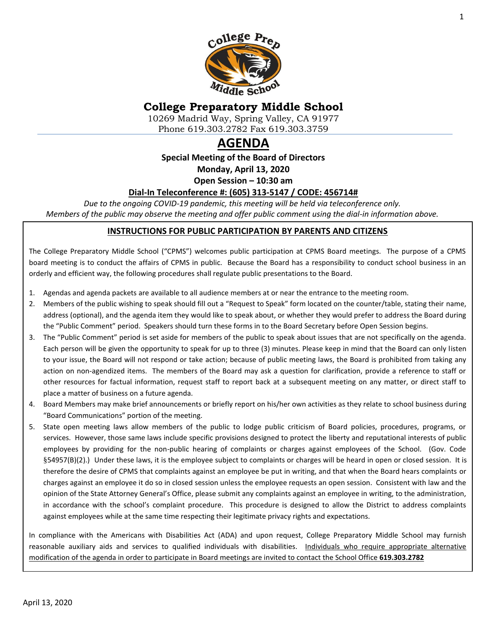

# **College Preparatory Middle School**

10269 Madrid Way, Spring Valley, CA 91977 Phone 619.303.2782 Fax 619.303.3759

# **AGENDA**

**Special Meeting of the Board of Directors**

**Monday, April 13, 2020**

**Open Session – 10:30 am**

### **Dial-In Teleconference #: (605) 313-5147 / CODE: 456714#**

*Due to the ongoing COVID-19 pandemic, this meeting will be held via teleconference only. Members of the public may observe the meeting and offer public comment using the dial-in information above.*

#### **INSTRUCTIONS FOR PUBLIC PARTICIPATION BY PARENTS AND CITIZENS**

The College Preparatory Middle School ("CPMS") welcomes public participation at CPMS Board meetings. The purpose of a CPMS board meeting is to conduct the affairs of CPMS in public. Because the Board has a responsibility to conduct school business in an orderly and efficient way, the following procedures shall regulate public presentations to the Board.

- 1. Agendas and agenda packets are available to all audience members at or near the entrance to the meeting room.
- 2. Members of the public wishing to speak should fill out a "Request to Speak" form located on the counter/table, stating their name, address (optional), and the agenda item they would like to speak about, or whether they would prefer to address the Board during the "Public Comment" period. Speakers should turn these forms in to the Board Secretary before Open Session begins.
- 3. The "Public Comment" period is set aside for members of the public to speak about issues that are not specifically on the agenda. Each person will be given the opportunity to speak for up to three (3) minutes. Please keep in mind that the Board can only listen to your issue, the Board will not respond or take action; because of public meeting laws, the Board is prohibited from taking any action on non-agendized items. The members of the Board may ask a question for clarification, provide a reference to staff or other resources for factual information, request staff to report back at a subsequent meeting on any matter, or direct staff to place a matter of business on a future agenda.
- 4. Board Members may make brief announcements or briefly report on his/her own activities as they relate to school business during "Board Communications" portion of the meeting.
- 5. State open meeting laws allow members of the public to lodge public criticism of Board policies, procedures, programs, or services. However, those same laws include specific provisions designed to protect the liberty and reputational interests of public employees by providing for the non-public hearing of complaints or charges against employees of the School. (Gov. Code §54957(B)(2).) Under these laws, it is the employee subject to complaints or charges will be heard in open or closed session. It is therefore the desire of CPMS that complaints against an employee be put in writing, and that when the Board hears complaints or charges against an employee it do so in closed session unless the employee requests an open session. Consistent with law and the opinion of the State Attorney General's Office, please submit any complaints against an employee in writing, to the administration, in accordance with the school's complaint procedure. This procedure is designed to allow the District to address complaints against employees while at the same time respecting their legitimate privacy rights and expectations.

In compliance with the Americans with Disabilities Act (ADA) and upon request, College Preparatory Middle School may furnish reasonable auxiliary aids and services to qualified individuals with disabilities. Individuals who require appropriate alternative modification of the agenda in order to participate in Board meetings are invited to contact the School Office **619.303.2782**